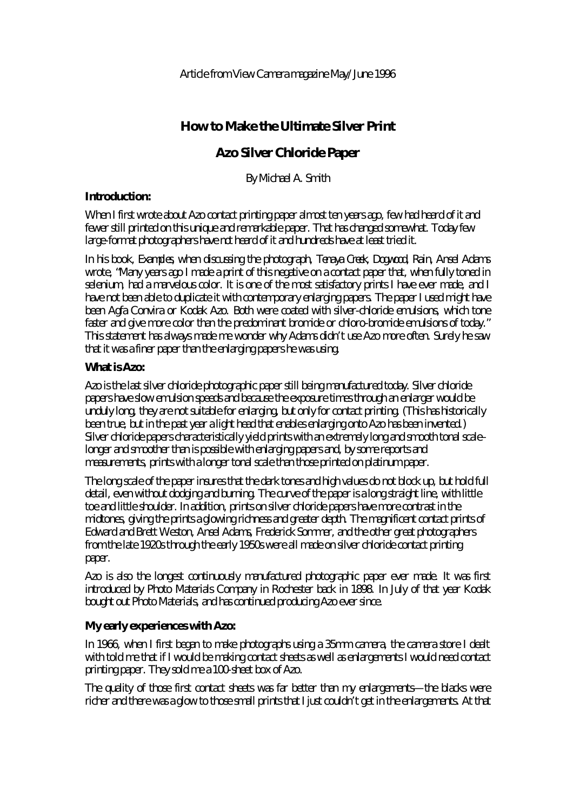# **How to Make the Ultimate Silver Print**

# **Azo Silver Chloride Paper**

By Michael A. Smith

# **Introduction:**

When I first wrote about Azo contact printing paper almost ten years ago, few had heard of it and fewer still printed on this unique and remarkable paper. That has changed somewhat. Today few large-format photographers have *not* heard of it and hundreds have at least tried it.

In his book, *Examples,* when discussing the photograph, *Tenaya Creek, Dogwood, Rain,* Ansel Adams wrote, "Many years ago I made a print of this negative on a contact paper that, when fully toned in selenium, had a marvelous color. It is one of the most satisfactory prints I have ever made, and I have not been able to duplicate it with contemporary enlarging papers. The paper I used might have been Agfa Convira or Kodak Azo. Both were coated with silver-chloride emulsions, which tone faster and give more color than the predominant bromide or chloro-bromide emulsions of today." This statement has always made me wonder why Adams didn't use Azo more often. Surely he saw that it was a finer paper than the enlarging papers he was using.

# **What is Azo:**

Azo is the last silver chloride photographic paper still being manufactured today. Silver chloride papers have slow emulsion speeds and because the exposure times through an enlarger would be unduly long, they are not suitable for enlarging, but only for contact printing. (This has historically been true, but in the past year a light head that enables enlarging onto Azo has been invented.) Silver chloride papers characteristically yield prints with an extremely long and smooth tonal scale– longer and smoother than is possible with enlarging papers and, by some reports and measurements, prints with a longer tonal scale than those printed on platinum paper.

The long scale of the paper insures that the dark tones and high values do not block up, but hold full detail, even without dodging and burning. The curve of the paper is a long straight line, with little toe and little shoulder. In addition, prints on silver chloride papers have more contrast in the midtones, giving the prints a glowing richness and greater depth. The magnificent contact prints of Edward and Brett Weston, Ansel Adams, Frederick Sommer, and the other great photographers from the late 1920s through the early 1950s were all made on silver chloride contact printing paper.

Azo is also the longest continuously manufactured photographic paper ever made. It was first introduced by Photo Materials Company in Rochester back in 1898. In July of that year Kodak bought out Photo Materials, and has continued producing Azo ever since.

# **My early experiences with Azo:**

In 1966, when I first began to make photographs using a 35mm camera, the camera store I dealt with told me that if I would be making contact sheets as well as enlargements I would need contact printing paper. They sold me a 100-sheet box of Azo.

The quality of those first contact sheets was far better than my enlargements—the blacks were richer and there was a glow to those small prints that I just couldn't get in the enlargements. At that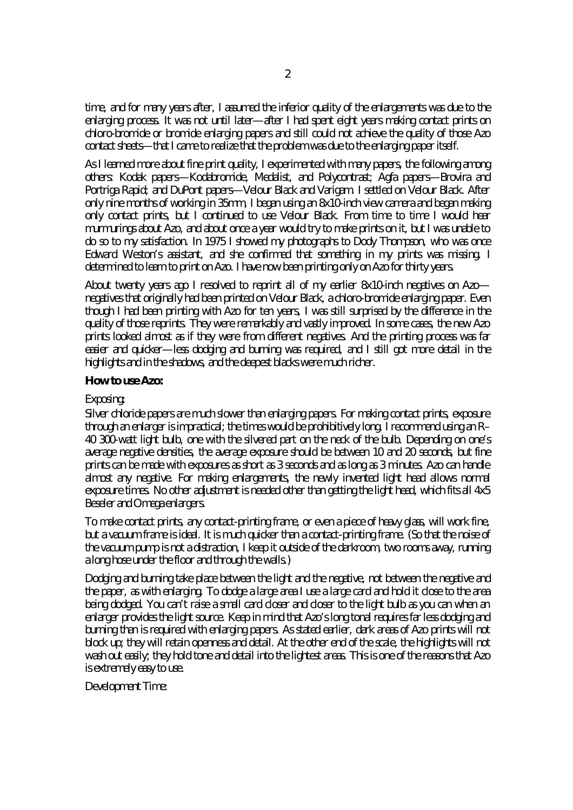time, and for many years after, I assumed the inferior quality of the enlargements was due to the enlarging process. It was not until later—after I had spent eight years making contact prints on chloro-bromide or bromide enlarging papers and still could not achieve the quality of those Azo contact sheets—that I came to realize that the problem was due to the enlarging paper itself.

As I learned more about fine print quality, I experimented with many papers, the following among others: Kodak papers—Kodabromide, Medalist, and Polycontrast; Agfa papers—Brovira and Portriga Rapid; and DuPont papers—Velour Black and Varigam. I settled on Velour Black. After only nine months of working in 35mm, I began using an 8x10-inch view camera and began making only contact prints, but I continued to use Velour Black. From time to time I would hear murmurings about Azo, and about once a year would try to make prints on it, but I was unable to do so to my satisfaction. In 1975 I showed my photographs to Dody Thompson, who was once Edward Weston's assistant, and she confirmed that something in my prints was missing. I determined to learn to print on Azo. I have now been printing only on Azo for thirty years.

About twenty years ago I resolved to reprint all of my earlier 8x10-inch negatives on Azo negatives that originally had been printed on Velour Black, a chloro-bromide enlarging paper. Even though I had been printing with Azo for ten years, I was still surprised by the difference in the quality of those reprints. They were remarkably and vastly improved. In some cases, the new Azo prints looked almost as if they were from different negatives. And the printing process was far easier and quicker—less dodging and burning was required, and I still got more detail in the highlights and in the shadows, and the deepest blacks were much richer.

### **How to use Azo:**

### Exposing:

Silver chloride papers are much slower than enlarging papers. For making contact prints, exposure through an enlarger is impractical; the times would be prohibitively long. I recommend using an R– 40 300-watt light bulb, one with the silvered part on the neck of the bulb. Depending on one's average negative densities, the average exposure should be between 10 and 20 seconds, but fine prints can be made with exposures as short as 3 seconds and as long as 3 minutes. Azo can handle almost any negative. For making enlargements, the newly invented light head allows normal exposure times. No other adjustment is needed other than getting the light head, which fits all 4x5 Beseler and Omega enlargers.

To make contact prints, any contact-printing frame, or even a piece of heavy glass, will work fine, but a vacuum frame is ideal. It is much quicker than a contact-printing frame. (So that the noise of the vacuum pump is not a distraction, I keep it outside of the darkroom, two rooms away, running a long hose under the floor and through the walls.)

Dodging and burning take place between the light and the negative, not between the negative and the paper, as with enlarging. To dodge a large area I use a large card and hold it close to the area being dodged. You can't raise a small card closer and closer to the light bulb as you can when an enlarger provides the light source. Keep in mind that Azo's long tonal requires far less dodging and burning than is required with enlarging papers. As stated earlier, dark areas of Azo prints will not block up; they will retain openness and detail. At the other end of the scale, the highlights will not wash out easily; they hold tone and detail into the lightest areas. This is one of the reasons that Azo is extremely easy to use.

Development Time: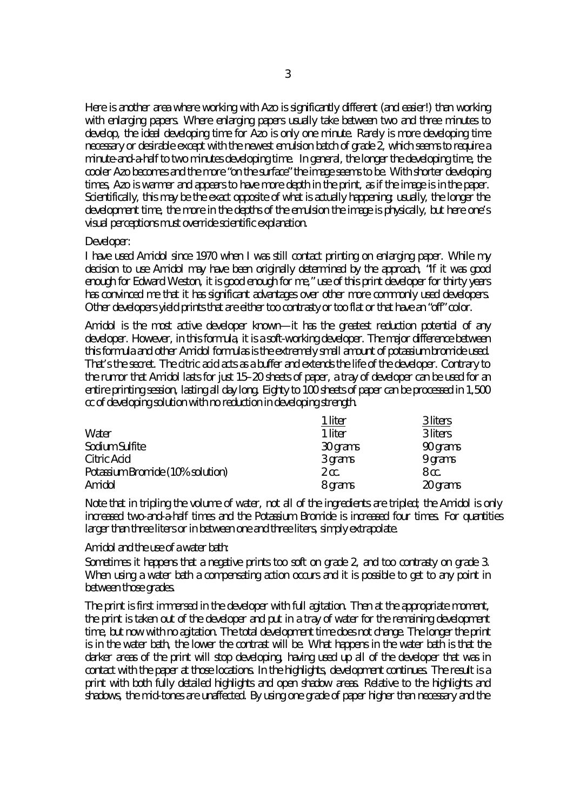Here is another area where working with Azo is significantly different (and easier!) than working with enlarging papers. Where enlarging papers usually take between two and three minutes to develop, the ideal developing time for Azo is only one minute. Rarely is more developing time necessary or desirable except with the newest emulsion batch of grade 2, which seems to require a minute-and-a-half to two minutes developing time. In general, the longer the developing time, the cooler Azo becomes and the more "on the surface" the image seems to be. With shorter developing times, Azo is warmer and appears to have more depth in the print, as if the image is *in* the paper. Scientifically, this may be the exact opposite of what is actually happening; usually, the longer the development time, the more in the depths of the emulsion the image is physically, but here one's visual perceptions must override scientific explanation.

#### Developer:

I have used Amidol since 1970 when I was still contact printing on enlarging paper. While my decision to use Amidol may have been originally determined by the approach, "If it was good enough for Edward Weston, it is good enough for me," use of this print developer for thirty years has convinced me that it has significant advantages over other more commonly used developers. Other developers yield prints that are either too contrasty or too flat or that have an "off" color.

Amidol is the most active developer known—it has the greatest reduction potential of any developer. However, in this formula, it is a soft-working developer. The major difference between this formula and other Amidol formulas is the extremely small amount of potassium bromide used. That's the secret. The citric acid acts as a buffer and extends the life of the developer. Contrary to the rumor that Amidol lasts for just 15–20 sheets of paper, a tray of developer can be used for an entire printing session, lasting all day long. Eighty to 100 sheets of paper can be processed in 1,500 cc of developing solution with no reduction in developing strength.

|                                  | 1 liter          | 3 liters |
|----------------------------------|------------------|----------|
| Water                            | 1 liter          | 3 liters |
| Sodium Sulfite                   | 30 grams         | 90 grams |
| Citric Acid                      | 3 grams          | 9 grams  |
| Potassium Bromide (10% solution) | $2 \text{ cc}$ . | 8 cc.    |
| Amidol                           | 8 grams          | 20 grams |

Note that in tripling the volume of water, not all of the ingredients are tripled; the Amidol is only increased two-and-a-half times and the Potassium Bromide is increased four times. For quantities larger than three liters or in between one and three liters, simply extrapolate.

Amidol and the use of a water bath:

Sometimes it happens that a negative prints too soft on grade 2, and too contrasty on grade 3. When using a water bath a compensating action occurs and it is possible to get to any point in between those grades.

The print is first immersed in the developer with full agitation. Then at the appropriate moment, the print is taken out of the developer and put in a tray of water for the remaining development time, but now with no agitation. The total development time does not change. The longer the print is in the water bath, the lower the contrast will be. What happens in the water bath is that the darker areas of the print will stop developing, having used up all of the developer that was in contact with the paper at those locations. In the highlights, development continues. The result is a print with both fully detailed highlights and open shadow areas. Relative to the highlights and shadows, the mid-tones are unaffected. By using one grade of paper higher than necessary and the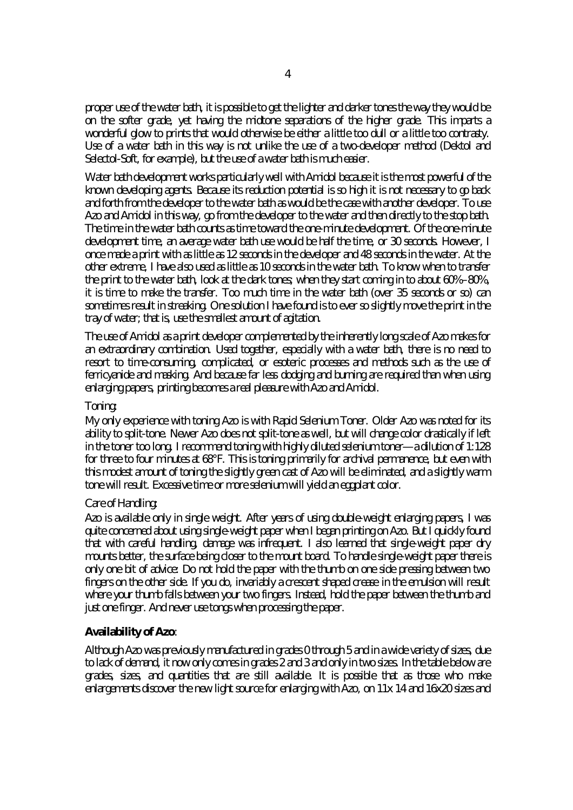proper use of the water bath, it is possible to get the lighter and darker tones the way they would be on the softer grade, yet having the midtone separations of the higher grade. This imparts a wonderful glow to prints that would otherwise be either a little too dull or a little too contrasty. Use of a water bath in this way is not unlike the use of a two-developer method (Dektol and Selectol-Soft, for example), but the use of a water bath is much easier.

Water bath development works particularly well with Amidol because it is the most powerful of the known developing agents. Because its reduction potential is so high it is not necessary to go back and forth from the developer to the water bath as would be the case with another developer. To use Azo and Amidol in this way, go from the developer to the water and then directly to the stop bath. The time in the water bath counts as time toward the one-minute development. Of the one-minute development time, an average water bath use would be half the time, or 30 seconds. However, I once made a print with as little as 12 seconds in the developer and 48 seconds in the water. At the other extreme, I have also used as little as 10 seconds in the water bath. To know when to transfer the print to the water bath, look at the dark tones; when they start coming in to about 60%–80%, it is time to make the transfer. Too much time in the water bath (over 35 seconds or so) can sometimes result in streaking. One solution I have found is to ever so slightly move the print in the tray of water; that is, use the smallest amount of agitation.

The use of Amidol as a print developer complemented by the inherently long scale of Azo makes for an extraordinary combination. Used together, especially with a water bath, there is no need to resort to time-consuming, complicated, or esoteric processes and methods such as the use of ferricyanide and masking. And because far less dodging and burning are required than when using enlarging papers, printing becomes a real pleasure with Azo and Amidol.

# Toning:

My only experience with toning Azo is with Rapid Selenium Toner. Older Azo was noted for its ability to split-tone. Newer Azo does not split-tone as well, but will change color drastically if left in the toner too long. I recommend toning with highly diluted selenium toner—a dilution of 1:128 for three to four minutes at 68°F. This is toning primarily for archival permanence, but even with this modest amount of toning the slightly green cast of Azo will be eliminated, and a slightly warm tone will result. Excessive time or more selenium will yield an eggplant color.

# Care of Handling:

Azo is available only in single weight. After years of using double-weight enlarging papers, I was quite concerned about using single-weight paper when I began printing on Azo. But I quickly found that with careful handling, damage was infrequent. I also learned that single-weight paper dry mounts better, the surface being closer to the mount board. To handle single-weight paper there is only one bit of advice: Do not hold the paper with the thumb on one side pressing between two fingers on the other side. If you do, invariably a crescent shaped crease in the emulsion will result where your thumb falls between your two fingers. Instead, hold the paper between the thumb and just one finger. And never use tongs when processing the paper.

# **Availability of Azo**:

Although Azo was previously manufactured in grades 0 through 5 and in a wide variety of sizes, due to lack of demand, it now only comes in grades 2 and 3 and only in two sizes. In the table below are grades, sizes, and quantities that are still available. It is possible that as those who make enlargements discover the new light source for enlarging with Azo, on 11x 14 and 16x20 sizes and